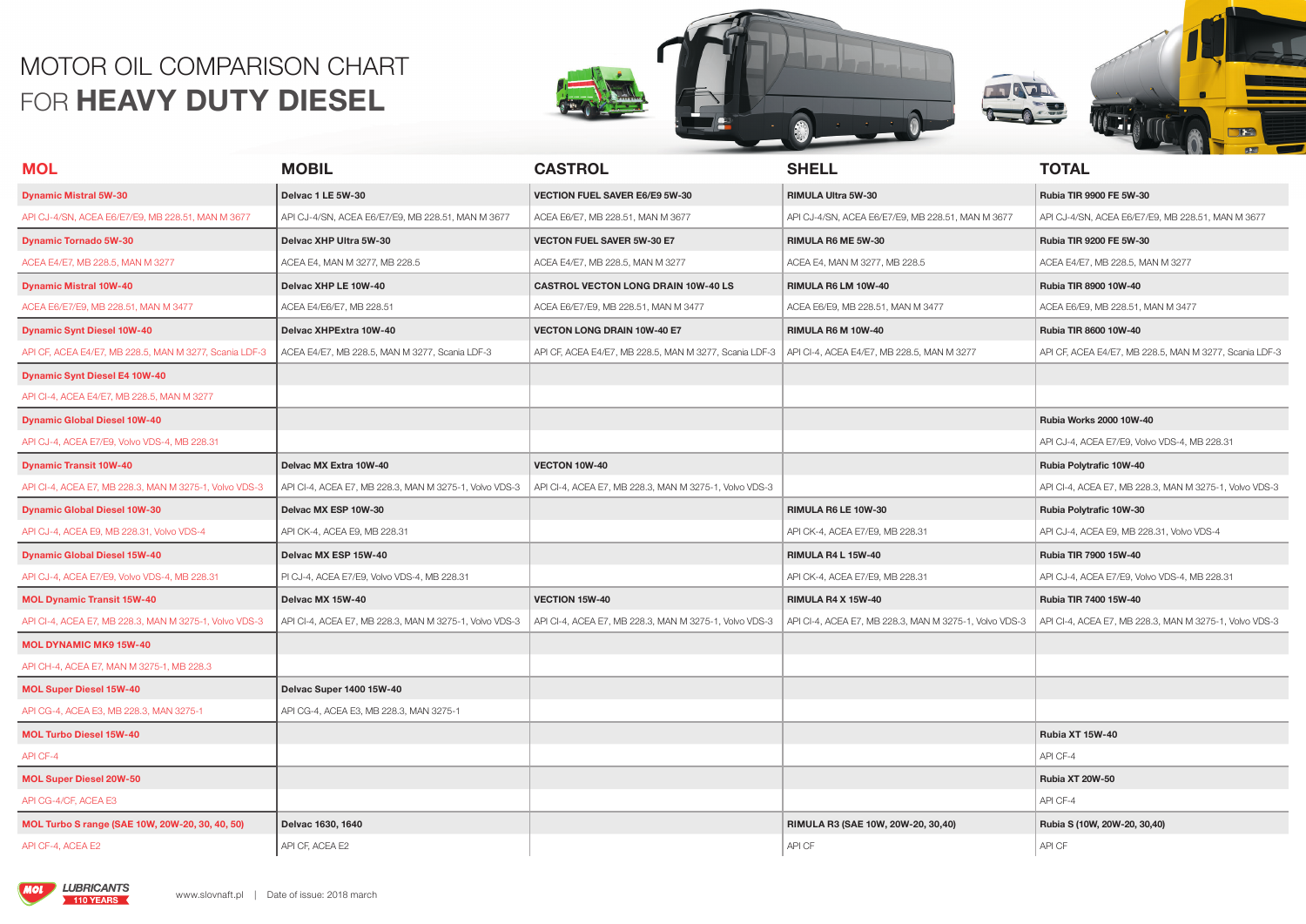## MOTOR OIL COMPARISON CHART FOR **HEAVY DUTY DIESEL**







| <b>MOL</b>                                             | <b>MOBIL</b>                                           | <b>CASTROL</b>                                         | <b>SHELL</b>                                           | <b>TOTAL</b>                                           |
|--------------------------------------------------------|--------------------------------------------------------|--------------------------------------------------------|--------------------------------------------------------|--------------------------------------------------------|
| <b>Dynamic Mistral 5W-30</b>                           | Delvac 1 LE 5W-30                                      | <b>VECTION FUEL SAVER E6/E9 5W-30</b>                  | RIMULA Ultra 5W-30                                     | Rubia TIR 9900 FE 5W-30                                |
| API CJ-4/SN, ACEA E6/E7/E9, MB 228.51, MAN M 3677      | API CJ-4/SN, ACEA E6/E7/E9, MB 228.51, MAN M 3677      | ACEA E6/E7, MB 228.51, MAN M 3677                      | API CJ-4/SN, ACEA E6/E7/E9, MB 228.51, MAN M 3677      | API CJ-4/SN, ACEA E6/E7/E9, MB 228.51, MAN M 3677      |
| <b>Dynamic Tornado 5W-30</b>                           | Delvac XHP Ultra 5W-30                                 | <b>VECTON FUEL SAVER 5W-30 E7</b>                      | RIMULA R6 ME 5W-30                                     | Rubia TIR 9200 FE 5W-30                                |
| ACEA E4/E7, MB 228.5, MAN M 3277                       | ACEA E4, MAN M 3277, MB 228.5                          | ACEA E4/E7, MB 228.5, MAN M 3277                       | ACEA E4, MAN M 3277, MB 228.5                          | ACEA E4/E7, MB 228.5, MAN M 3277                       |
| <b>Dynamic Mistral 10W-40</b>                          | Delvac XHP LE 10W-40                                   | <b>CASTROL VECTON LONG DRAIN 10W-40 LS</b>             | RIMULA R6 LM 10W-40                                    | Rubia TIR 8900 10W-40                                  |
| ACEA E6/E7/E9, MB 228.51, MAN M 3477                   | ACEA E4/E6/E7, MB 228.51                               | ACEA E6/E7/E9, MB 228.51, MAN M 3477                   | ACEA E6/E9, MB 228.51, MAN M 3477                      | ACEA E6/E9, MB 228.51, MAN M 3477                      |
| <b>Dynamic Synt Diesel 10W-40</b>                      | Delvac XHPExtra 10W-40                                 | <b>VECTON LONG DRAIN 10W-40 E7</b>                     | RIMULA R6 M 10W-40                                     | Rubia TIR 8600 10W-40                                  |
| API CF, ACEA E4/E7, MB 228.5, MAN M 3277, Scania LDF-3 | ACEA E4/E7, MB 228.5, MAN M 3277, Scania LDF-3         | API CF, ACEA E4/E7, MB 228.5, MAN M 3277, Scania LDF-3 | API CI-4, ACEA E4/E7, MB 228.5, MAN M 3277             | API CF, ACEA E4/E7, MB 228.5, MAN M 3277, Scania LDF-3 |
| <b>Dynamic Synt Diesel E4 10W-40</b>                   |                                                        |                                                        |                                                        |                                                        |
| API CI-4, ACEA E4/E7, MB 228.5, MAN M 3277             |                                                        |                                                        |                                                        |                                                        |
| <b>Dynamic Global Diesel 10W-40</b>                    |                                                        |                                                        |                                                        | Rubia Works 2000 10W-40                                |
| API CJ-4, ACEA E7/E9, Volvo VDS-4, MB 228.31           |                                                        |                                                        |                                                        | API CJ-4, ACEA E7/E9, Volvo VDS-4, MB 228.31           |
| <b>Dynamic Transit 10W-40</b>                          | Delvac MX Extra 10W-40                                 | VECTON 10W-40                                          |                                                        | Rubia Polytrafic 10W-40                                |
| API CI-4, ACEA E7, MB 228.3, MAN M 3275-1, Volvo VDS-3 | API CI-4, ACEA E7, MB 228.3, MAN M 3275-1, Volvo VDS-3 | API CI-4, ACEA E7, MB 228.3, MAN M 3275-1, Volvo VDS-3 |                                                        | API CI-4, ACEA E7, MB 228.3, MAN M 3275-1, Volvo VDS-3 |
| <b>Dynamic Global Diesel 10W-30</b>                    | Delvac MX ESP 10W-30                                   |                                                        | RIMULA R6 LE 10W-30                                    | Rubia Polytrafic 10W-30                                |
| API CJ-4, ACEA E9, MB 228.31, Volvo VDS-4              | API CK-4, ACEA E9, MB 228.31                           |                                                        | API CK-4, ACEA E7/E9, MB 228.31                        | API CJ-4, ACEA E9, MB 228.31, Volvo VDS-4              |
| <b>Dynamic Global Diesel 15W-40</b>                    | Delvac MX ESP 15W-40                                   |                                                        | <b>RIMULA R4 L 15W-40</b>                              | Rubia TIR 7900 15W-40                                  |
| API CJ-4, ACEA E7/E9, Volvo VDS-4, MB 228.31           | PI CJ-4, ACEA E7/E9, Volvo VDS-4, MB 228.31            |                                                        | API CK-4, ACEA E7/E9, MB 228.31                        | API CJ-4, ACEA E7/E9, Volvo VDS-4, MB 228.31           |
| <b>MOL Dynamic Transit 15W-40</b>                      | Delvac MX 15W-40                                       | VECTION 15W-40                                         | <b>RIMULA R4 X 15W-40</b>                              | Rubia TIR 7400 15W-40                                  |
| API CI-4, ACEA E7, MB 228.3, MAN M 3275-1, Volvo VDS-3 | API CI-4, ACEA E7, MB 228.3, MAN M 3275-1, Volvo VDS-3 | API CI-4, ACEA E7, MB 228.3, MAN M 3275-1, Volvo VDS-3 | API CI-4, ACEA E7, MB 228.3, MAN M 3275-1, Volvo VDS-3 | API CI-4, ACEA E7, MB 228.3, MAN M 3275-1, Volvo VDS-3 |
| <b>MOL DYNAMIC MK9 15W-40</b>                          |                                                        |                                                        |                                                        |                                                        |
| API CH-4, ACEA E7, MAN M 3275-1, MB 228.3              |                                                        |                                                        |                                                        |                                                        |
| <b>MOL Super Diesel 15W-40</b>                         | Delvac Super 1400 15W-40                               |                                                        |                                                        |                                                        |
| API CG-4, ACEA E3, MB 228.3, MAN 3275-1                | API CG-4, ACEA E3, MB 228.3, MAN 3275-1                |                                                        |                                                        |                                                        |
| <b>MOL Turbo Diesel 15W-40</b>                         |                                                        |                                                        |                                                        | Rubia XT 15W-40                                        |
| API CF-4                                               |                                                        |                                                        |                                                        | API CF-4                                               |
| <b>MOL Super Diesel 20W-50</b>                         |                                                        |                                                        |                                                        | <b>Rubia XT 20W-50</b>                                 |
| API CG-4/CF, ACEA E3                                   |                                                        |                                                        |                                                        | API CF-4                                               |
| MOL Turbo S range (SAE 10W, 20W-20, 30, 40, 50)        | Delvac 1630, 1640                                      |                                                        | RIMULA R3 (SAE 10W, 20W-20, 30,40)                     | Rubia S (10W, 20W-20, 30,40)                           |
| API CF-4, ACEA E2                                      | API CF, ACEA E2                                        |                                                        | API CF                                                 | API CF                                                 |

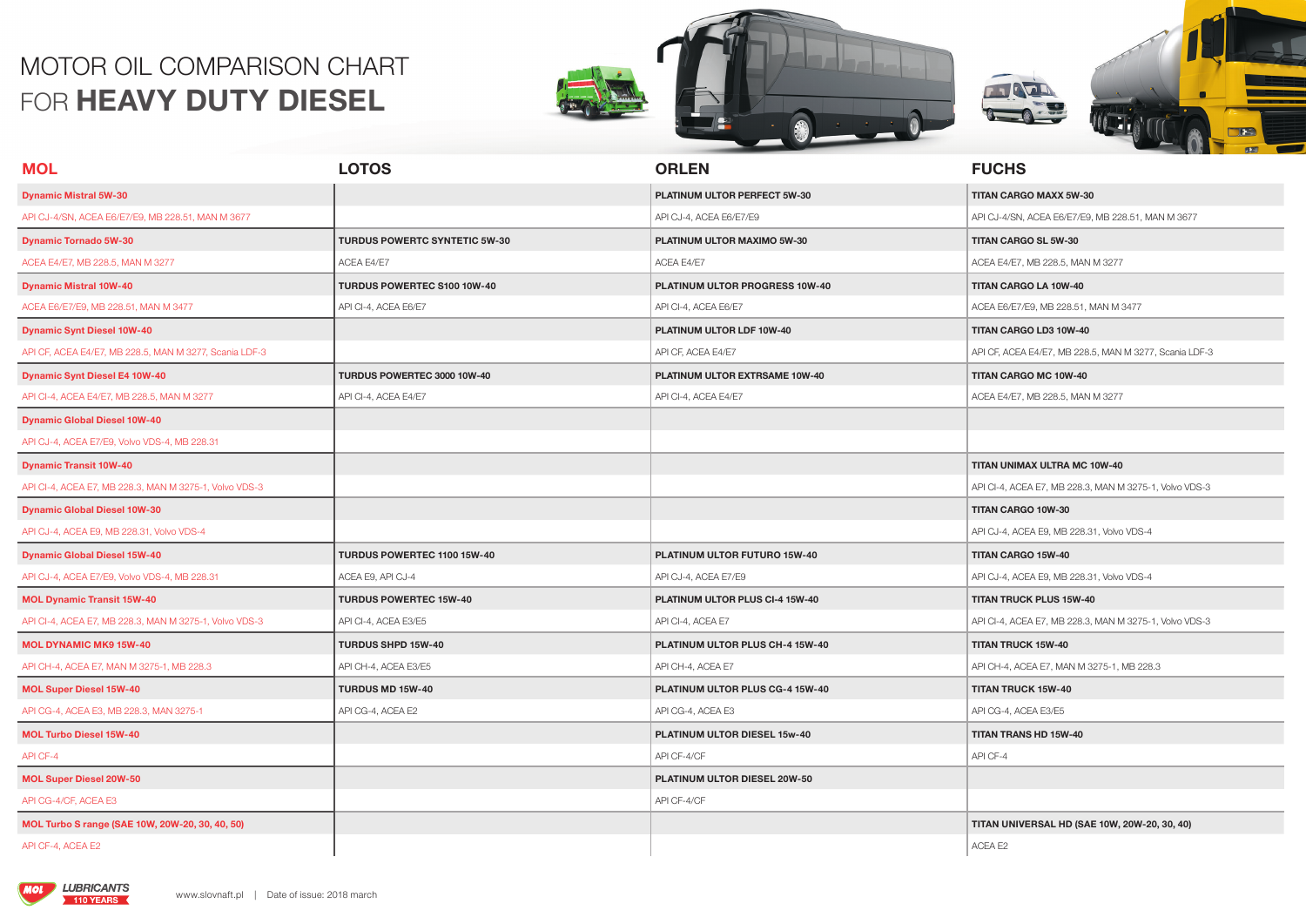## MOTOR OIL COMPARISON CHART FOR **HEAVY DUTY DIESEL**







| <b>MOL</b>                                             | <b>LOTOS</b>                         | <b>ORLEN</b>                    | <b>FUCHS</b>                                           |
|--------------------------------------------------------|--------------------------------------|---------------------------------|--------------------------------------------------------|
| <b>Dynamic Mistral 5W-30</b>                           |                                      | PLATINUM ULTOR PERFECT 5W-30    | TITAN CARGO MAXX 5W-30                                 |
| API CJ-4/SN, ACEA E6/E7/E9, MB 228.51, MAN M 3677      |                                      | API CJ-4, ACEA E6/E7/E9         | API CJ-4/SN, ACEA E6/E7/E9, MB 228.51, MAN M 3677      |
| <b>Dynamic Tornado 5W-30</b>                           | <b>TURDUS POWERTC SYNTETIC 5W-30</b> | PLATINUM ULTOR MAXIMO 5W-30     | TITAN CARGO SL 5W-30                                   |
| ACEA E4/E7, MB 228.5, MAN M 3277                       | ACEA E4/E7                           | ACEA E4/E7                      | ACEA E4/E7, MB 228.5, MAN M 3277                       |
| <b>Dynamic Mistral 10W-40</b>                          | TURDUS POWERTEC S100 10W-40          | PLATINUM ULTOR PROGRESS 10W-40  | <b>TITAN CARGO LA 10W-40</b>                           |
| ACEA E6/E7/E9, MB 228.51, MAN M 3477                   | API CI-4, ACEA E6/E7                 | API CI-4, ACEA E6/E7            | ACEA E6/E7/E9, MB 228.51, MAN M 3477                   |
| <b>Dynamic Synt Diesel 10W-40</b>                      |                                      | PLATINUM ULTOR LDF 10W-40       | TITAN CARGO LD3 10W-40                                 |
| API CF, ACEA E4/E7, MB 228.5, MAN M 3277, Scania LDF-3 |                                      | API CF, ACEA E4/E7              | API CF, ACEA E4/E7, MB 228.5, MAN M 3277, Scania LDF-3 |
| <b>Dynamic Synt Diesel E4 10W-40</b>                   | TURDUS POWERTEC 3000 10W-40          | PLATINUM ULTOR EXTRSAME 10W-40  | TITAN CARGO MC 10W-40                                  |
| API CI-4, ACEA E4/E7, MB 228.5, MAN M 3277             | API CI-4, ACEA E4/E7                 | API CI-4, ACEA E4/E7            | ACEA E4/E7, MB 228.5, MAN M 3277                       |
| <b>Dynamic Global Diesel 10W-40</b>                    |                                      |                                 |                                                        |
| API CJ-4, ACEA E7/E9, Volvo VDS-4, MB 228.31           |                                      |                                 |                                                        |
| <b>Dynamic Transit 10W-40</b>                          |                                      |                                 | TITAN UNIMAX ULTRA MC 10W-40                           |
| API CI-4, ACEA E7, MB 228.3, MAN M 3275-1, Volvo VDS-3 |                                      |                                 | API CI-4, ACEA E7, MB 228.3, MAN M 3275-1, Volvo VDS-3 |
| <b>Dynamic Global Diesel 10W-30</b>                    |                                      |                                 | TITAN CARGO 10W-30                                     |
| API CJ-4, ACEA E9, MB 228.31, Volvo VDS-4              |                                      |                                 | API CJ-4, ACEA E9, MB 228.31, Volvo VDS-4              |
| <b>Dynamic Global Diesel 15W-40</b>                    | TURDUS POWERTEC 1100 15W-40          | PLATINUM ULTOR FUTURO 15W-40    | TITAN CARGO 15W-40                                     |
| API CJ-4, ACEA E7/E9, Volvo VDS-4, MB 228.31           | ACEA E9, API CJ-4                    | API CJ-4, ACEA E7/E9            | API CJ-4, ACEA E9, MB 228.31, Volvo VDS-4              |
| <b>MOL Dynamic Transit 15W-40</b>                      | <b>TURDUS POWERTEC 15W-40</b>        | PLATINUM ULTOR PLUS CI-4 15W-40 | <b>TITAN TRUCK PLUS 15W-40</b>                         |
| API CI-4, ACEA E7, MB 228.3, MAN M 3275-1, Volvo VDS-3 | API CI-4, ACEA E3/E5                 | API CI-4, ACEA E7               | API CI-4, ACEA E7, MB 228.3, MAN M 3275-1, Volvo VDS-3 |
| <b>MOL DYNAMIC MK9 15W-40</b>                          | TURDUS SHPD 15W-40                   | PLATINUM ULTOR PLUS CH-4 15W-40 | <b>TITAN TRUCK 15W-40</b>                              |
| API CH-4, ACEA E7, MAN M 3275-1, MB 228.3              | API CH-4, ACEA E3/E5                 | API CH-4, ACEA E7               | API CH-4, ACEA E7, MAN M 3275-1, MB 228.3              |
| <b>MOL Super Diesel 15W-40</b>                         | <b>TURDUS MD 15W-40</b>              | PLATINUM ULTOR PLUS CG-4 15W-40 | <b>TITAN TRUCK 15W-40</b>                              |
| API CG-4, ACEA E3, MB 228.3, MAN 3275-1                | API CG-4, ACEA E2                    | API CG-4, ACEA E3               | API CG-4, ACEA E3/E5                                   |
| <b>MOL Turbo Diesel 15W-40</b>                         |                                      | PLATINUM ULTOR DIESEL 15w-40    | <b>TITAN TRANS HD 15W-40</b>                           |
| API CF-4                                               |                                      | API CF-4/CF                     | API CF-4                                               |
| <b>MOL Super Diesel 20W-50</b>                         |                                      | PLATINUM ULTOR DIESEL 20W-50    |                                                        |
| API CG-4/CF, ACEA E3                                   |                                      | API CF-4/CF                     |                                                        |
| MOL Turbo S range (SAE 10W, 20W-20, 30, 40, 50)        |                                      |                                 | TITAN UNIVERSAL HD (SAE 10W, 20W-20, 30, 40)           |
| API CF-4, ACEA E2                                      |                                      |                                 | ACEA E2                                                |